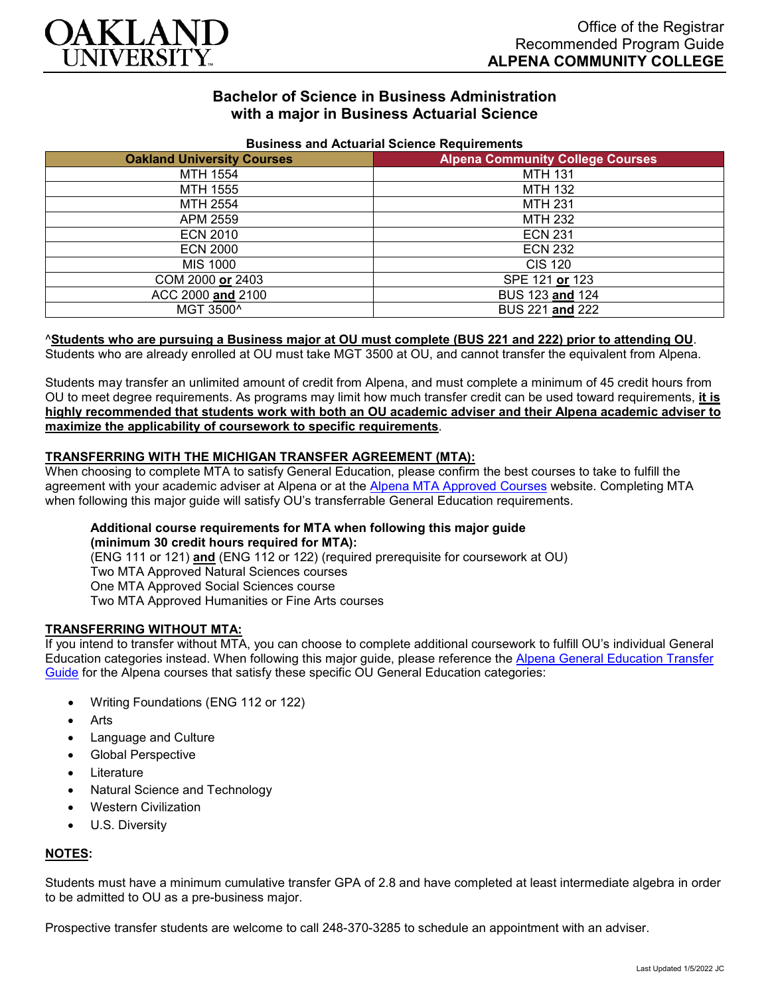

# **Bachelor of Science in Business Administration with a major in Business Actuarial Science**

| <b>Pasinoss and Actuanal Ocionoc Requirements</b><br><b>Oakland University Courses</b><br><b>Alpena Community College Courses</b> |                 |
|-----------------------------------------------------------------------------------------------------------------------------------|-----------------|
|                                                                                                                                   |                 |
| MTH 1554                                                                                                                          | <b>MTH 131</b>  |
| MTH 1555                                                                                                                          | <b>MTH 132</b>  |
| MTH 2554                                                                                                                          | <b>MTH 231</b>  |
| APM 2559                                                                                                                          | <b>MTH 232</b>  |
| <b>ECN 2010</b>                                                                                                                   | <b>ECN 231</b>  |
| <b>ECN 2000</b>                                                                                                                   | <b>ECN 232</b>  |
| MIS 1000                                                                                                                          | CIS 120         |
| COM 2000 or 2403                                                                                                                  | SPE 121 or 123  |
| ACC 2000 and 2100                                                                                                                 | BUS 123 and 124 |
| MGT 3500^                                                                                                                         | BUS 221 and 222 |

#### **Business and Actuarial Science Requirements**

#### ^**Students who are pursuing a Business major at OU must complete (BUS 221 and 222) prior to attending OU**.

Students who are already enrolled at OU must take MGT 3500 at OU, and cannot transfer the equivalent from Alpena.

Students may transfer an unlimited amount of credit from Alpena, and must complete a minimum of 45 credit hours from OU to meet degree requirements. As programs may limit how much transfer credit can be used toward requirements, **it is highly recommended that students work with both an OU academic adviser and their Alpena academic adviser to maximize the applicability of coursework to specific requirements**.

### **TRANSFERRING WITH THE MICHIGAN TRANSFER AGREEMENT (MTA):**

When choosing to complete MTA to satisfy General Education, please confirm the best courses to take to fulfill the agreement with your academic adviser at Alpena or at the [Alpena MTA Approved Courses](https://discover.alpenacc.edu/admissions/current_students/MTA.php) website. Completing MTA when following this major guide will satisfy OU's transferrable General Education requirements.

#### **Additional course requirements for MTA when following this major guide (minimum 30 credit hours required for MTA):**

(ENG 111 or 121) **and** (ENG 112 or 122) (required prerequisite for coursework at OU) Two MTA Approved Natural Sciences courses One MTA Approved Social Sciences course Two MTA Approved Humanities or Fine Arts courses

### **TRANSFERRING WITHOUT MTA:**

If you intend to transfer without MTA, you can choose to complete additional coursework to fulfill OU's individual General Education categories instead. When following this major guide, please reference the [Alpena General Education Transfer](https://www.oakland.edu/Assets/Oakland/program-guides/alpena-community-college/university-general-education-requirements/Alpena%20Gen%20Ed.pdf)  [Guide](https://www.oakland.edu/Assets/Oakland/program-guides/alpena-community-college/university-general-education-requirements/Alpena%20Gen%20Ed.pdf) for the Alpena courses that satisfy these specific OU General Education categories:

- Writing Foundations (ENG 112 or 122)
- **Arts**
- Language and Culture
- Global Perspective
- **Literature**
- Natural Science and Technology
- Western Civilization
- U.S. Diversity

### **NOTES:**

Students must have a minimum cumulative transfer GPA of 2.8 and have completed at least intermediate algebra in order to be admitted to OU as a pre-business major.

Prospective transfer students are welcome to call 248-370-3285 to schedule an appointment with an adviser.